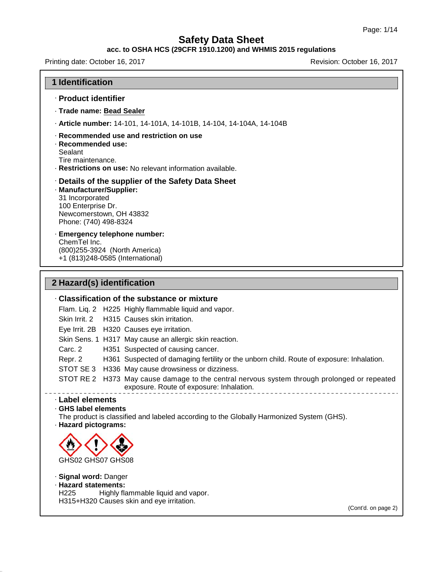#### **acc. to OSHA HCS (29CFR 1910.1200) and WHMIS 2015 regulations**

Printing date: October 16, 2017 Revision: October 16, 2017

#### **1 Identification**

- · **Product identifier**
- · **Trade name: Bead Sealer**
- · **Article number:** 14-101, 14-101A, 14-101B, 14-104, 14-104A, 14-104B

#### · **Recommended use and restriction on use**

- · **Recommended use:**
- **Sealant**
- Tire maintenance.
- · **Restrictions on use:** No relevant information available.

#### · **Details of the supplier of the Safety Data Sheet**

· **Manufacturer/Supplier:** 31 Incorporated 100 Enterprise Dr. Newcomerstown, OH 43832 Phone: (740) 498-8324

· **Emergency telephone number:** ChemTel Inc. (800)255-3924 (North America) +1 (813)248-0585 (International)

# **2 Hazard(s) identification**

# · **Classification of the substance or mixture** Flam. Liq. 2 H225 Highly flammable liquid and vapor. Skin Irrit.2 H315 Causes skin irritation. Eye Irrit. 2B H320 Causes eye irritation. Skin Sens. 1 H317 May cause an allergic skin reaction. Carc. 2 H351 Suspected of causing cancer. Repr. 2 H361 Suspected of damaging fertility or the unborn child. Route of exposure: Inhalation. STOT SE 3 H336 May cause drowsiness or dizziness. STOT RE 2 H373 May cause damage to the central nervous system through prolonged or repeated exposure. Route of exposure: Inhalation. · **Label elements**

# · **GHS label elements**

The product is classified and labeled according to the Globally Harmonized System (GHS).

· **Hazard pictograms:**

45.2.18



· **Signal word:** Danger · **Hazard statements:** Highly flammable liquid and vapor. H315+H320 Causes skin and eye irritation.

(Cont'd. on page 2)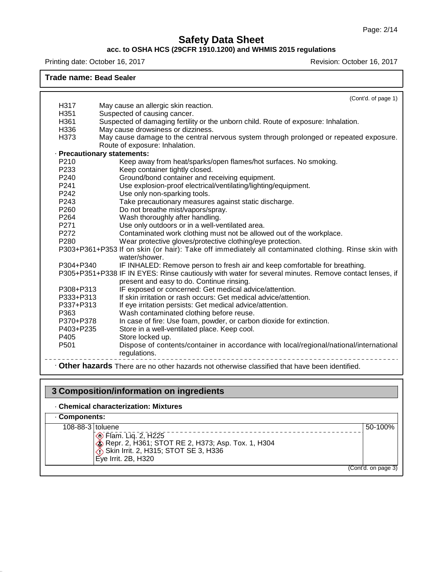### **acc. to OSHA HCS (29CFR 1910.1200) and WHMIS 2015 regulations**

Printing date: October 16, 2017 **Printing date: October 16, 2017** 

#### **Trade name: Bead Sealer**

| H317                        | (Cont'd. of page 1)                                                                                                      |
|-----------------------------|--------------------------------------------------------------------------------------------------------------------------|
| H351                        | May cause an allergic skin reaction.<br>Suspected of causing cancer.                                                     |
| H361                        |                                                                                                                          |
| H336                        | Suspected of damaging fertility or the unborn child. Route of exposure: Inhalation.                                      |
| H373                        | May cause drowsiness or dizziness.                                                                                       |
|                             | May cause damage to the central nervous system through prolonged or repeated exposure.<br>Route of exposure: Inhalation. |
| · Precautionary statements: |                                                                                                                          |
| P210                        | Keep away from heat/sparks/open flames/hot surfaces. No smoking.                                                         |
| P <sub>233</sub>            | Keep container tightly closed.                                                                                           |
| P <sub>240</sub>            | Ground/bond container and receiving equipment.                                                                           |
| P <sub>241</sub>            | Use explosion-proof electrical/ventilating/lighting/equipment.                                                           |
| P242                        | Use only non-sparking tools.                                                                                             |
| P243                        | Take precautionary measures against static discharge.                                                                    |
| P260                        | Do not breathe mist/vapors/spray.                                                                                        |
| P264                        | Wash thoroughly after handling.                                                                                          |
| P271                        | Use only outdoors or in a well-ventilated area.                                                                          |
| P272                        | Contaminated work clothing must not be allowed out of the workplace.                                                     |
| P <sub>280</sub>            | Wear protective gloves/protective clothing/eye protection.                                                               |
|                             | P303+P361+P353 If on skin (or hair): Take off immediately all contaminated clothing. Rinse skin with                     |
|                             | water/shower.                                                                                                            |
| P304+P340                   | IF INHALED: Remove person to fresh air and keep comfortable for breathing.                                               |
|                             | P305+P351+P338 IF IN EYES: Rinse cautiously with water for several minutes. Remove contact lenses, if                    |
|                             | present and easy to do. Continue rinsing.                                                                                |
| P308+P313                   | IF exposed or concerned: Get medical advice/attention.                                                                   |
| P333+P313                   | If skin irritation or rash occurs: Get medical advice/attention.                                                         |
| P337+P313                   | If eye irritation persists: Get medical advice/attention.                                                                |
| P363                        | Wash contaminated clothing before reuse.                                                                                 |
| P370+P378                   | In case of fire: Use foam, powder, or carbon dioxide for extinction.                                                     |
| P403+P235                   | Store in a well-ventilated place. Keep cool.                                                                             |
| P405                        | Store locked up.                                                                                                         |
| P <sub>501</sub>            | Dispose of contents/container in accordance with local/regional/national/international<br>regulations.                   |
|                             | • Other hazards There are no other hazards not otherwise classified that have been identified.                           |

# **3 Composition/information on ingredients**

# · **Chemical characterization: Mixtures**

45.2.18

· **Components:** 108-88-3 toluene Flam. Liq. 2, H225 Repr. 2, H361; STOT RE 2, H373; Asp. Tox. 1, H304 Skin Irrit.2, H315; STOT SE 3, H336 Eye Irrit. 2B, H320 50-100% (Cont'd. on page 3)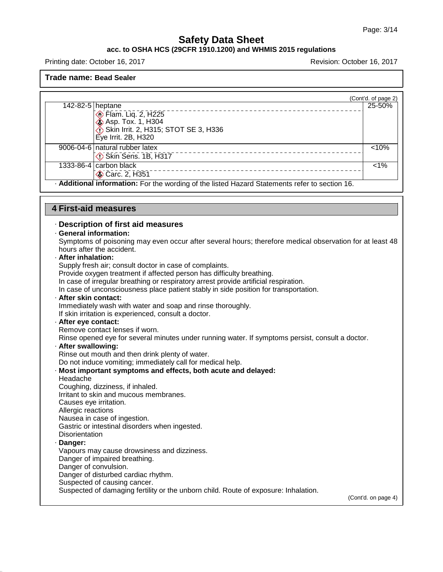#### **acc. to OSHA HCS (29CFR 1910.1200) and WHMIS 2015 regulations**

Printing date: October 16, 2017 Revision: October 16, 2017

#### **Trade name: Bead Sealer**

|                  |                                                                                                | (Cont'd. of page 2) |
|------------------|------------------------------------------------------------------------------------------------|---------------------|
| 142-82-5 heptane |                                                                                                | 25-50%              |
|                  | Flam. Liq. 2, H225                                                                             |                     |
|                  | <b>Asp. Tox. 1, H304</b>                                                                       |                     |
|                  | Skin Irrit. 2, H315; STOT SE 3, H336                                                           |                     |
|                  | Eye Irrit. 2B, H320                                                                            |                     |
|                  | 9006-04-6   natural rubber latex                                                               | < 10%               |
|                  | Skin Sens. 1B, H317                                                                            |                     |
|                  | 1333-86-4 $\vert$ carbon black                                                                 | $< 1\%$             |
|                  | Carc. 2, H351                                                                                  |                     |
|                  | - Additional information: For the wording of the listed Hazard Statements refer to section 16. |                     |

## **4 First-aid measures**

#### · **Description of first aid measures**

#### · **General information:**

Symptoms of poisoning may even occur after several hours; therefore medical observation for at least 48 hours after the accident.

· **After inhalation:**

Supply fresh air; consult doctor in case of complaints.

Provide oxygen treatment if affected person has difficulty breathing.

In case of irregular breathing or respiratory arrest provide artificial respiration.

In case of unconsciousness place patient stably in side position for transportation.

· **After skin contact:**

Immediately wash with water and soap and rinse thoroughly.

If skin irritation is experienced, consult a doctor.

#### · **After eye contact:**

Remove contact lenses if worn.

Rinse opened eye for several minutes under running water. If symptoms persist, consult a doctor.

#### · **After swallowing:**

Rinse out mouth and then drink plenty of water.

Do not induce vomiting; immediately call for medical help.

### · **Most important symptoms and effects, both acute and delayed:** Headache Coughing, dizziness, if inhaled. Irritant to skin and mucous membranes. Causes eye irritation. Allergic reactions Nausea in case of ingestion.

Gastric or intestinal disorders when ingested.

**Disorientation** 

#### · **Danger:**

45.2.18

Vapours may cause drowsiness and dizziness.

Danger of impaired breathing.

Danger of convulsion.

Danger of disturbed cardiac rhythm.

Suspected of causing cancer.

Suspected of damaging fertility or the unborn child. Route of exposure: Inhalation.

(Cont'd. on page 4)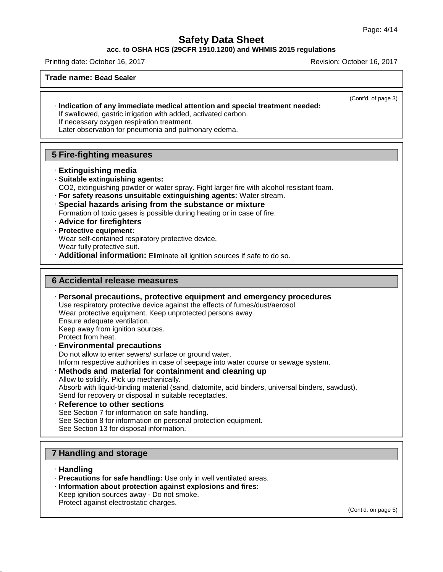#### **acc. to OSHA HCS (29CFR 1910.1200) and WHMIS 2015 regulations**

Printing date: October 16, 2017 Revision: October 16, 2017

#### **Trade name: Bead Sealer**

(Cont'd. of page 3)

· **Indication of any immediate medical attention and special treatment needed:** If swallowed, gastric irrigation with added, activated carbon.

If necessary oxygen respiration treatment.

Later observation for pneumonia and pulmonary edema.

## **5 Fire-fighting measures**

- · **Extinguishing media**
- · **Suitable extinguishing agents:**
- CO2, extinguishing powder or water spray. Fight larger fire with alcohol resistant foam.
- · **For safety reasons unsuitable extinguishing agents:** Water stream.
- · **Special hazards arising from the substance or mixture** Formation of toxic gases is possible during heating or in case of fire.
- · **Advice for firefighters**
- · **Protective equipment:**
- Wear self-contained respiratory protective device.
- Wear fully protective suit.
- · **Additional information:** Eliminate all ignition sources if safe to do so.

#### **6 Accidental release measures**

- · **Personal precautions, protective equipment and emergency procedures** Use respiratory protective device against the effects of fumes/dust/aerosol. Wear protective equipment. Keep unprotected persons away. Ensure adequate ventilation. Keep away from ignition sources. Protect from heat. · **Environmental precautions** Do not allow to enter sewers/ surface or ground water. Inform respective authorities in case of seepage into water course or sewage system. · **Methods and material for containment and cleaning up** Allow to solidify. Pick up mechanically. Absorb with liquid-binding material (sand, diatomite, acid binders, universal binders, sawdust).
	- Send for recovery or disposal in suitable receptacles.
- · **Reference to other sections** See Section 7 for information on safe handling. See Section 8 for information on personal protection equipment. See Section 13 for disposal information.

## **7 Handling and storage**

· **Handling**

45.2.18

- · **Precautions for safe handling:** Use only in well ventilated areas.
- · **Information about protection against explosions and fires:**
- Keep ignition sources away Do not smoke.
- Protect against electrostatic charges.

(Cont'd. on page 5)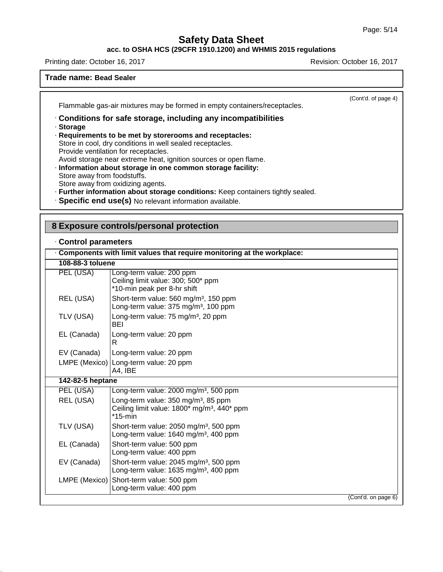(Cont'd. of page 4)

# **Safety Data Sheet**

# **acc. to OSHA HCS (29CFR 1910.1200) and WHMIS 2015 regulations**

Printing date: October 16, 2017 Revision: October 16, 2017

### **Trade name: Bead Sealer**

Flammable gas-air mixtures may be formed in empty containers/receptacles.

# · **Conditions for safe storage, including any incompatibilities**

· **Storage**

45.2.18

- · **Requirements to be met by storerooms and receptacles:**
- Store in cool, dry conditions in well sealed receptacles.
- Provide ventilation for receptacles.
- Avoid storage near extreme heat, ignition sources or open flame.
- · **Information about storage in one common storage facility:**
- Store away from foodstuffs. Store away from oxidizing agents.
- · **Further information about storage conditions:** Keep containers tightly sealed.
- · **Specific end use(s)** No relevant information available.

# **8 Exposure controls/personal protection**

## · **Control parameters**

|                  | Components with limit values that require monitoring at the workplace:                                                   |  |
|------------------|--------------------------------------------------------------------------------------------------------------------------|--|
| 108-88-3 toluene |                                                                                                                          |  |
| PEL (USA)        | Long-term value: 200 ppm<br>Ceiling limit value: 300; 500* ppm<br>*10-min peak per 8-hr shift                            |  |
| REL (USA)        | Short-term value: 560 mg/m <sup>3</sup> , 150 ppm<br>Long-term value: 375 mg/m <sup>3</sup> , 100 ppm                    |  |
| TLV (USA)        | Long-term value: 75 mg/m <sup>3</sup> , 20 ppm<br>BEI                                                                    |  |
| EL (Canada)      | Long-term value: 20 ppm<br>R.                                                                                            |  |
| EV (Canada)      | Long-term value: 20 ppm                                                                                                  |  |
|                  | LMPE (Mexico) Long-term value: 20 ppm<br>A4, IBE                                                                         |  |
| 142-82-5 heptane |                                                                                                                          |  |
| PEL (USA)        | Long-term value: 2000 mg/m <sup>3</sup> , 500 ppm                                                                        |  |
| REL (USA)        | Long-term value: 350 mg/m <sup>3</sup> , 85 ppm<br>Ceiling limit value: 1800* mg/m <sup>3</sup> , 440* ppm<br>$*15$ -min |  |
| TLV (USA)        | Short-term value: 2050 mg/m <sup>3</sup> , 500 ppm<br>Long-term value: 1640 mg/m <sup>3</sup> , 400 ppm                  |  |
| EL (Canada)      | Short-term value: 500 ppm<br>Long-term value: 400 ppm                                                                    |  |
| EV (Canada)      | Short-term value: 2045 mg/m <sup>3</sup> , 500 ppm<br>Long-term value: 1635 mg/m <sup>3</sup> , 400 ppm                  |  |
| LMPE (Mexico)    | Short-term value: 500 ppm<br>Long-term value: 400 ppm                                                                    |  |
|                  | (Cont'd. on page 6)                                                                                                      |  |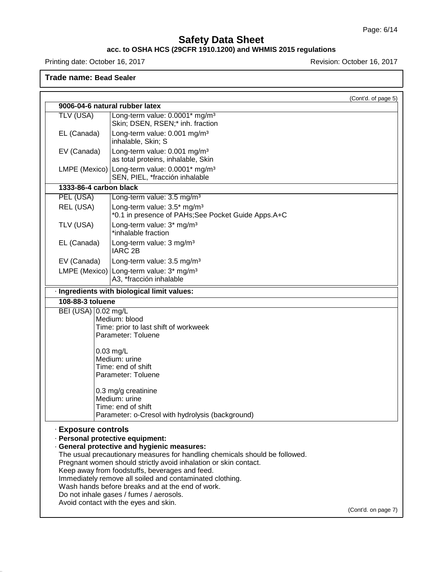### **acc. to OSHA HCS (29CFR 1910.1200) and WHMIS 2015 regulations**

Printing date: October 16, 2017 **Printing date: October 16, 2017** 

# **Trade name: Bead Sealer**

45.2.18

|                                                                                               |                                                                                                                                                                                                                                                                                                                                                                                                                                                 | (Cont'd. of page 5) |
|-----------------------------------------------------------------------------------------------|-------------------------------------------------------------------------------------------------------------------------------------------------------------------------------------------------------------------------------------------------------------------------------------------------------------------------------------------------------------------------------------------------------------------------------------------------|---------------------|
|                                                                                               | 9006-04-6 natural rubber latex                                                                                                                                                                                                                                                                                                                                                                                                                  |                     |
| TLV (USA)                                                                                     | Long-term value: 0.0001* mg/m <sup>3</sup><br>Skin; DSEN, RSEN;* inh. fraction                                                                                                                                                                                                                                                                                                                                                                  |                     |
| EL (Canada)                                                                                   | Long-term value: 0.001 mg/m <sup>3</sup><br>inhalable, Skin; S                                                                                                                                                                                                                                                                                                                                                                                  |                     |
| Long-term value: 0.001 mg/m <sup>3</sup><br>EV (Canada)<br>as total proteins, inhalable, Skin |                                                                                                                                                                                                                                                                                                                                                                                                                                                 |                     |
|                                                                                               | LMPE (Mexico) Long-term value: 0.0001* mg/m <sup>3</sup><br>SEN, PIEL, *fracción inhalable                                                                                                                                                                                                                                                                                                                                                      |                     |
| 1333-86-4 carbon black                                                                        |                                                                                                                                                                                                                                                                                                                                                                                                                                                 |                     |
| PEL (USA)                                                                                     | Long-term value: 3.5 mg/m <sup>3</sup>                                                                                                                                                                                                                                                                                                                                                                                                          |                     |
| REL (USA)                                                                                     | Long-term value: 3.5* mg/m <sup>3</sup><br>*0.1 in presence of PAHs;See Pocket Guide Apps.A+C                                                                                                                                                                                                                                                                                                                                                   |                     |
| TLV (USA)                                                                                     | Long-term value: 3* mg/m <sup>3</sup><br>*inhalable fraction                                                                                                                                                                                                                                                                                                                                                                                    |                     |
| EL (Canada)                                                                                   | Long-term value: 3 mg/m <sup>3</sup><br>IARC 2B                                                                                                                                                                                                                                                                                                                                                                                                 |                     |
| EV (Canada)                                                                                   | Long-term value: 3.5 mg/m <sup>3</sup>                                                                                                                                                                                                                                                                                                                                                                                                          |                     |
|                                                                                               | LMPE (Mexico) Long-term value: $3*$ mg/m <sup>3</sup><br>A3, *fracción inhalable                                                                                                                                                                                                                                                                                                                                                                |                     |
|                                                                                               | · Ingredients with biological limit values:                                                                                                                                                                                                                                                                                                                                                                                                     |                     |
| 108-88-3 toluene                                                                              |                                                                                                                                                                                                                                                                                                                                                                                                                                                 |                     |
| BEI (USA) 0.02 mg/L                                                                           |                                                                                                                                                                                                                                                                                                                                                                                                                                                 |                     |
|                                                                                               | Medium: blood<br>Time: prior to last shift of workweek<br>Parameter: Toluene                                                                                                                                                                                                                                                                                                                                                                    |                     |
|                                                                                               |                                                                                                                                                                                                                                                                                                                                                                                                                                                 |                     |
|                                                                                               | $0.03$ mg/L                                                                                                                                                                                                                                                                                                                                                                                                                                     |                     |
|                                                                                               | Medium: urine                                                                                                                                                                                                                                                                                                                                                                                                                                   |                     |
|                                                                                               | Time: end of shift<br>Parameter: Toluene                                                                                                                                                                                                                                                                                                                                                                                                        |                     |
|                                                                                               | 0.3 mg/g creatinine<br>Medium: urine                                                                                                                                                                                                                                                                                                                                                                                                            |                     |
|                                                                                               | Time: end of shift                                                                                                                                                                                                                                                                                                                                                                                                                              |                     |
|                                                                                               | Parameter: o-Cresol with hydrolysis (background)                                                                                                                                                                                                                                                                                                                                                                                                |                     |
| · Exposure controls                                                                           | · Personal protective equipment:<br>· General protective and hygienic measures:<br>The usual precautionary measures for handling chemicals should be followed.<br>Pregnant women should strictly avoid inhalation or skin contact.<br>Keep away from foodstuffs, beverages and feed.<br>Immediately remove all soiled and contaminated clothing.<br>Wash hands before breaks and at the end of work.<br>Do not inhale gases / fumes / aerosols. |                     |
|                                                                                               | Avoid contact with the eyes and skin.                                                                                                                                                                                                                                                                                                                                                                                                           | (Cont'd. on page 7) |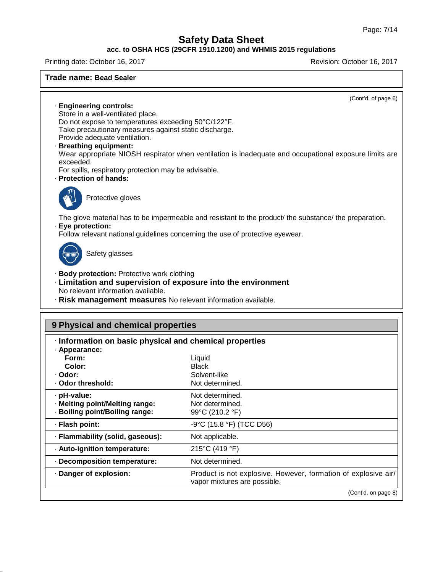# **acc. to OSHA HCS (29CFR 1910.1200) and WHMIS 2015 regulations**

Printing date: October 16, 2017 Revision: October 16, 2017

### **Trade name: Bead Sealer**

(Cont'd. of page 6)

· **Engineering controls:** Store in a well-ventilated place. Do not expose to temperatures exceeding 50°C/122°F. Take precautionary measures against static discharge. Provide adequate ventilation.

· **Breathing equipment:**

Wear appropriate NIOSH respirator when ventilation is inadequate and occupational exposure limits are exceeded.

For spills, respiratory protection may be advisable.

· **Protection of hands:**



Protective gloves

The glove material has to be impermeable and resistant to the product/ the substance/ the preparation.

### · **Eye protection:**

Follow relevant national guidelines concerning the use of protective eyewear.



45.2.18

Safety glasses

- · **Body protection:** Protective work clothing
- · **Limitation and supervision of exposure into the environment** No relevant information available.
- · **Risk management measures** No relevant information available.

# **9 Physical and chemical properties**

| Information on basic physical and chemical properties |                                                                                                |
|-------------------------------------------------------|------------------------------------------------------------------------------------------------|
| · Appearance:                                         |                                                                                                |
| Form:                                                 | Liquid                                                                                         |
| Color:                                                | <b>Black</b>                                                                                   |
| · Odor:                                               | Solvent-like                                                                                   |
| . Odor threshold:                                     | Not determined.                                                                                |
| $\cdot$ pH-value:                                     | Not determined.                                                                                |
| · Melting point/Melting range:                        | Not determined.                                                                                |
| · Boiling point/Boiling range:                        | 99°C (210.2 °F)                                                                                |
| · Flash point:                                        | -9°C (15.8 °F) (TCC D56)                                                                       |
| · Flammability (solid, gaseous):                      | Not applicable.                                                                                |
| · Auto-ignition temperature:                          | 215°C (419 °F)                                                                                 |
| Decomposition temperature:                            | Not determined.                                                                                |
| · Danger of explosion:                                | Product is not explosive. However, formation of explosive air/<br>vapor mixtures are possible. |
|                                                       | (Cont'd. on page 8)                                                                            |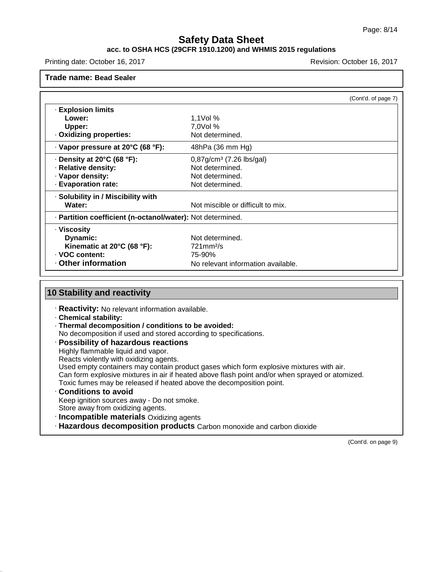## **acc. to OSHA HCS (29CFR 1910.1200) and WHMIS 2015 regulations**

Printing date: October 16, 2017 Revision: October 16, 2017

**Trade name: Bead Sealer**

|                                                            |                                    | (Cont'd. of page 7) |
|------------------------------------------------------------|------------------------------------|---------------------|
| · Explosion limits                                         |                                    |                     |
| Lower:                                                     | 1,1 $Vol$ %                        |                     |
| Upper:                                                     | 7,0Vol %                           |                     |
| · Oxidizing properties:                                    | Not determined.                    |                     |
| · Vapor pressure at 20°C (68 °F):                          | 48hPa (36 mm Hg)                   |                     |
| $\cdot$ Density at 20°C (68 °F):                           | $0,87g/cm3$ (7.26 lbs/gal)         |                     |
| · Relative density:                                        | Not determined.                    |                     |
| · Vapor density:                                           | Not determined.                    |                     |
| · Evaporation rate:                                        | Not determined.                    |                     |
| · Solubility in / Miscibility with                         |                                    |                     |
| Water:                                                     | Not miscible or difficult to mix.  |                     |
| · Partition coefficient (n-octanol/water): Not determined. |                                    |                     |
| · Viscosity                                                |                                    |                     |
| Dynamic:                                                   | Not determined.                    |                     |
| Kinematic at 20°C (68 °F):                                 | $721$ mm $2/s$                     |                     |
| · VOC content:                                             | 75-90%                             |                     |
| Other information                                          | No relevant information available. |                     |

# **10 Stability and reactivity**

· **Reactivity:** No relevant information available.

· **Chemical stability:**

45.2.18

- · **Thermal decomposition / conditions to be avoided:**
- No decomposition if used and stored according to specifications.
- · **Possibility of hazardous reactions**

Highly flammable liquid and vapor.

Reacts violently with oxidizing agents.

Used empty containers may contain product gases which form explosive mixtures with air.

Can form explosive mixtures in air if heated above flash point and/or when sprayed or atomized.

Toxic fumes may be released if heated above the decomposition point.

- · **Conditions to avoid** Keep ignition sources away - Do not smoke. Store away from oxidizing agents.
- · **Incompatible materials** Oxidizing agents
- · **Hazardous decomposition products** Carbon monoxide and carbon dioxide

(Cont'd. on page 9)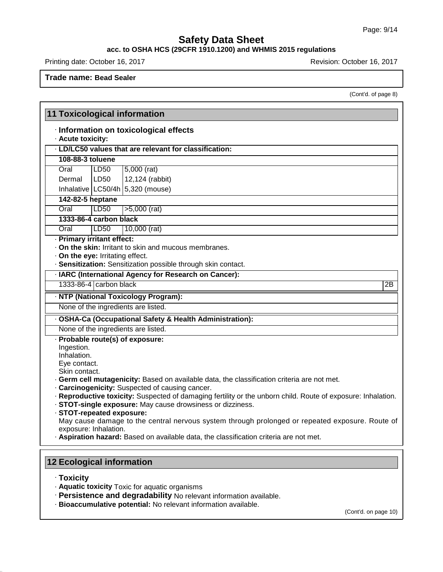### **acc. to OSHA HCS (29CFR 1910.1200) and WHMIS 2015 regulations**

Printing date: October 16, 2017 **Printing date: October 16, 2017** 

**Trade name: Bead Sealer**

(Cont'd. of page 8)

|                                  |                       | <b>11 Toxicological information</b>                                                                                                            |
|----------------------------------|-----------------------|------------------------------------------------------------------------------------------------------------------------------------------------|
|                                  |                       | · Information on toxicological effects                                                                                                         |
| · Acute toxicity:                |                       | · LD/LC50 values that are relevant for classification:                                                                                         |
|                                  |                       |                                                                                                                                                |
| 108-88-3 toluene                 |                       |                                                                                                                                                |
| Oral                             | LD <sub>50</sub>      | $5,000$ (rat)                                                                                                                                  |
| Dermal                           | LD50                  | 12,124 (rabbit)                                                                                                                                |
|                                  |                       | Inhalative $LC50/4h$ 5,320 (mouse)                                                                                                             |
| 142-82-5 heptane                 |                       |                                                                                                                                                |
| Oral                             | LD <sub>50</sub>      | $>5,000$ (rat)                                                                                                                                 |
| 1333-86-4 carbon black           |                       |                                                                                                                                                |
| Oral                             | LD50                  | 10,000 (rat)                                                                                                                                   |
| · Primary irritant effect:       |                       |                                                                                                                                                |
|                                  |                       | . On the skin: Irritant to skin and mucous membranes.                                                                                          |
| · On the eye: Irritating effect. |                       | · Sensitization: Sensitization possible through skin contact.                                                                                  |
|                                  |                       |                                                                                                                                                |
|                                  |                       | · IARC (International Agency for Research on Cancer):                                                                                          |
| 1333-86-4 carbon black           |                       | $\overline{2B}$                                                                                                                                |
|                                  |                       | · NTP (National Toxicology Program):                                                                                                           |
|                                  |                       | None of the ingredients are listed.                                                                                                            |
|                                  |                       | · OSHA-Ca (Occupational Safety & Health Administration):                                                                                       |
|                                  |                       | None of the ingredients are listed.                                                                                                            |
|                                  |                       | · Probable route(s) of exposure:                                                                                                               |
| Ingestion.                       |                       |                                                                                                                                                |
| Inhalation.                      |                       |                                                                                                                                                |
| Eye contact.                     |                       |                                                                                                                                                |
| Skin contact.                    |                       |                                                                                                                                                |
|                                  |                       | · Germ cell mutagenicity: Based on available data, the classification criteria are not met.<br>· Carcinogenicity: Suspected of causing cancer. |
|                                  |                       | · Reproductive toxicity: Suspected of damaging fertility or the unborn child. Route of exposure: Inhalation.                                   |
|                                  |                       | · STOT-single exposure: May cause drowsiness or dizziness.                                                                                     |
| · STOT-repeated exposure:        |                       |                                                                                                                                                |
|                                  |                       | May cause damage to the central nervous system through prolonged or repeated exposure. Route of                                                |
|                                  | exposure: Inhalation. | . Aspiration hazard: Based on available data, the classification criteria are not met.                                                         |
|                                  |                       |                                                                                                                                                |

· **Toxicity**

45.2.18

- · **Aquatic toxicity** Toxic for aquatic organisms
- · **Persistence and degradability** No relevant information available.
- · **Bioaccumulative potential:** No relevant information available.

(Cont'd. on page 10)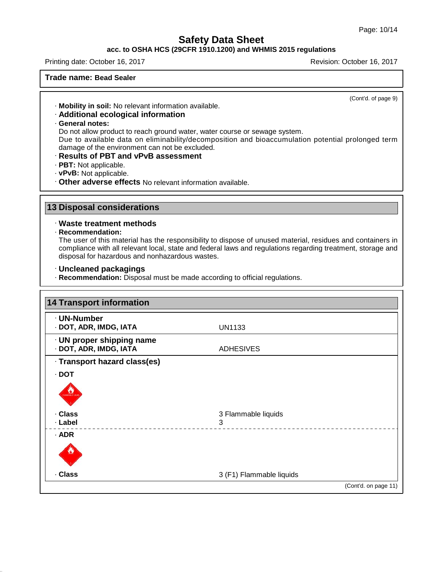## **acc. to OSHA HCS (29CFR 1910.1200) and WHMIS 2015 regulations**

Printing date: October 16, 2017 Revision: October 16, 2017

### **Trade name: Bead Sealer**

(Cont'd. of page 9)

· **Mobility in soil:** No relevant information available.

# · **Additional ecological information**

· **General notes:**

Do not allow product to reach ground water, water course or sewage system.

Due to available data on eliminability/decomposition and bioaccumulation potential prolonged term damage of the environment can not be excluded.

- · **Results of PBT and vPvB assessment**
- · **PBT:** Not applicable.
- · **vPvB:** Not applicable.
- · **Other adverse effects** No relevant information available.

# **13 Disposal considerations**

#### · **Waste treatment methods**

#### · **Recommendation:**

45.2.18

The user of this material has the responsibility to dispose of unused material, residues and containers in compliance with all relevant local, state and federal laws and regulations regarding treatment, storage and disposal for hazardous and nonhazardous wastes.

#### · **Uncleaned packagings**

· **Recommendation:** Disposal must be made according to official regulations.

| · UN-Number                                         |                          |  |
|-----------------------------------------------------|--------------------------|--|
| · DOT, ADR, IMDG, IATA                              | <b>UN1133</b>            |  |
| · UN proper shipping name<br>· DOT, ADR, IMDG, IATA | <b>ADHESIVES</b>         |  |
| · Transport hazard class(es)                        |                          |  |
| $\cdot$ DOT                                         |                          |  |
| <b>CONTRACTOR</b>                                   |                          |  |
| · Class                                             | 3 Flammable liquids      |  |
| · Label                                             | 3                        |  |
| $·$ ADR                                             |                          |  |
|                                                     |                          |  |
| · Class                                             | 3 (F1) Flammable liquids |  |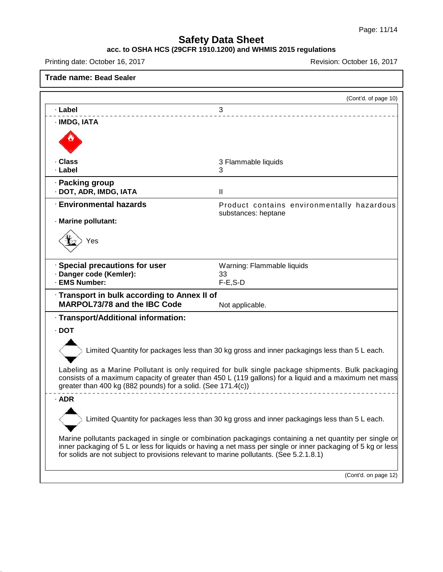# **acc. to OSHA HCS (29CFR 1910.1200) and WHMIS 2015 regulations**

Printing date: October 16, 2017 **Revision: October 16, 2017** Revision: October 16, 2017

45.2.18

|                                                                                                                                                                                                   | (Cont'd. of page 10)                                                                                                                                                                                        |
|---------------------------------------------------------------------------------------------------------------------------------------------------------------------------------------------------|-------------------------------------------------------------------------------------------------------------------------------------------------------------------------------------------------------------|
| · Label                                                                                                                                                                                           | 3                                                                                                                                                                                                           |
| · IMDG, IATA                                                                                                                                                                                      |                                                                                                                                                                                                             |
|                                                                                                                                                                                                   |                                                                                                                                                                                                             |
| · Class<br>· Label                                                                                                                                                                                | 3 Flammable liquids<br>3                                                                                                                                                                                    |
| · Packing group<br>· DOT, ADR, IMDG, IATA                                                                                                                                                         | $\mathbf{II}$                                                                                                                                                                                               |
| <b>Environmental hazards</b>                                                                                                                                                                      | Product contains environmentally hazardous<br>substances: heptane                                                                                                                                           |
| · Marine pollutant:                                                                                                                                                                               |                                                                                                                                                                                                             |
| Yes                                                                                                                                                                                               |                                                                                                                                                                                                             |
| · Special precautions for user                                                                                                                                                                    | Warning: Flammable liquids                                                                                                                                                                                  |
| · Danger code (Kemler):<br>· EMS Number:                                                                                                                                                          | 33                                                                                                                                                                                                          |
|                                                                                                                                                                                                   | $F-E$ , S-D                                                                                                                                                                                                 |
| · Transport in bulk according to Annex II of<br>MARPOL73/78 and the IBC Code                                                                                                                      | Not applicable.                                                                                                                                                                                             |
| · Transport/Additional information:                                                                                                                                                               |                                                                                                                                                                                                             |
| $\cdot$ DOT                                                                                                                                                                                       |                                                                                                                                                                                                             |
|                                                                                                                                                                                                   | Limited Quantity for packages less than 30 kg gross and inner packagings less than 5 L each.                                                                                                                |
| greater than 400 kg (882 pounds) for a solid. (See 171.4(c))                                                                                                                                      | Labeling as a Marine Pollutant is only required for bulk single package shipments. Bulk packaging<br>consists of a maximum capacity of greater than 450 L (119 gallons) for a liquid and a maximum net mass |
| $·$ ADR                                                                                                                                                                                           |                                                                                                                                                                                                             |
|                                                                                                                                                                                                   | Limited Quantity for packages less than 30 kg gross and inner packagings less than 5 L each.                                                                                                                |
|                                                                                                                                                                                                   |                                                                                                                                                                                                             |
| Marine pollutants packaged in single or combination packagings containing a net quantity per single or<br>for solids are not subject to provisions relevant to marine pollutants. (See 5.2.1.8.1) | inner packaging of 5 L or less for liquids or having a net mass per single or inner packaging of 5 kg or less                                                                                               |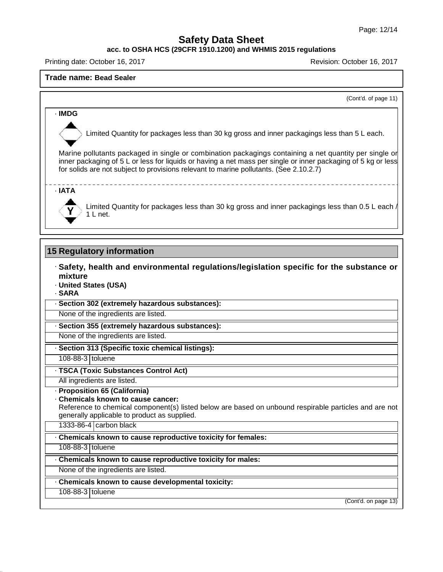**acc. to OSHA HCS (29CFR 1910.1200) and WHMIS 2015 regulations**

Printing date: October 16, 2017 Revision: October 16, 2017

#### **Trade name: Bead Sealer**

(Cont'd. of page 11)

## · **IMDG**

Limited Quantity for packages less than 30 kg gross and inner packagings less than 5 L each.

Marine pollutants packaged in single or combination packagings containing a net quantity per single or inner packaging of 5 L or less for liquids or having a net mass per single or inner packaging of 5 kg or less for solids are not subject to provisions relevant to marine pollutants. (See 2.10.2.7)

### · **IATA**



Limited Quantity for packages less than 30 kg gross and inner packagings less than 0.5 L each / 1 L net.

-----------------------

# **15 Regulatory information**

- · **Safety, health and environmental regulations/legislation specific for the substance or mixture** · **United States (USA)**
- · **SARA**

· **Section 302 (extremely hazardous substances):**

None of the ingredients are listed.

· **Section 355 (extremely hazardous substances):**

None of the ingredients are listed.

· **Section 313 (Specific toxic chemical listings):**

108-88-3 toluene

· **TSCA (Toxic Substances Control Act)**

All ingredients are listed.

· **Proposition 65 (California)**

· **Chemicals known to cause cancer:**

Reference to chemical component(s) listed below are based on unbound respirable particles and are not generally applicable to product as supplied.

1333-86-4 carbon black

· **Chemicals known to cause reproductive toxicity for females:**

108-88-3 toluene

· **Chemicals known to cause reproductive toxicity for males:**

None of the ingredients are listed.

· **Chemicals known to cause developmental toxicity:**

108-88-3 toluene

45.2.18

(Cont'd. on page 13)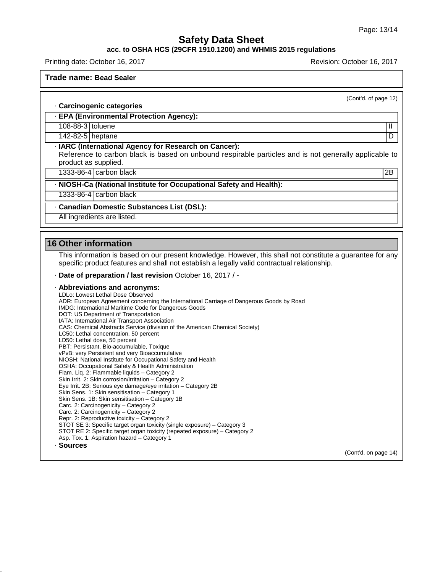#### **acc. to OSHA HCS (29CFR 1910.1200) and WHMIS 2015 regulations**

Printing date: October 16, 2017 Revision: October 16, 2017

#### **Trade name: Bead Sealer**

(Cont'd. of page 12)

#### · **Carcinogenic categories**

· **EPA (Environmental Protection Agency):**

108-88-3 toluene **III** and the set of the set of the set of the set of the set of the set of the set of the set of the set of the set of the set of the set of the set of the set of the set of the set of the set of the set

142-82-5 heptane D

#### · **IARC (International Agency for Research on Cancer):**

Reference to carbon black is based on unbound respirable particles and is not generally applicable to product as supplied.

1333-86-4 carbon black 2B

· **NIOSH-Ca (National Institute for Occupational Safety and Health):**

1333-86-4 carbon black

#### · **Canadian Domestic Substances List (DSL):**

All ingredients are listed.

### **16 Other information**

45.2.18

This information is based on our present knowledge. However, this shall not constitute a guarantee for any specific product features and shall not establish a legally valid contractual relationship.

#### · **Date of preparation / last revision** October 16, 2017 / -

#### · **Abbreviations and acronyms:**

LDLo: Lowest Lethal Dose Observed ADR: European Agreement concerning the International Carriage of Dangerous Goods by Road IMDG: International Maritime Code for Dangerous Goods DOT: US Department of Transportation IATA: International Air Transport Association CAS: Chemical Abstracts Service (division of the American Chemical Society) LC50: Lethal concentration, 50 percent LD50: Lethal dose, 50 percent PBT: Persistant, Bio-accumulable, Toxique vPvB: very Persistent and very Bioaccumulative NIOSH: National Institute for Occupational Safety and Health OSHA: Occupational Safety & Health Administration Flam. Liq. 2: Flammable liquids – Category 2 Skin Irrit. 2: Skin corrosion/irritation – Category 2 Eye Irrit.2B: Serious eye damage/eye irritation – Category 2B Skin Sens. 1: Skin sensitisation – Category 1 Skin Sens. 1B: Skin sensitisation – Category 1B Carc. 2: Carcinogenicity – Category 2 Carc. 2: Carcinogenicity – Category 2 Repr. 2: Reproductive toxicity – Category 2 STOT SE 3: Specific target organ toxicity (single exposure) – Category 3 STOT RE 2: Specific target organ toxicity (repeated exposure) – Category 2 Asp. Tox. 1: Aspiration hazard – Category 1 · **Sources** (Cont'd. on page 14)